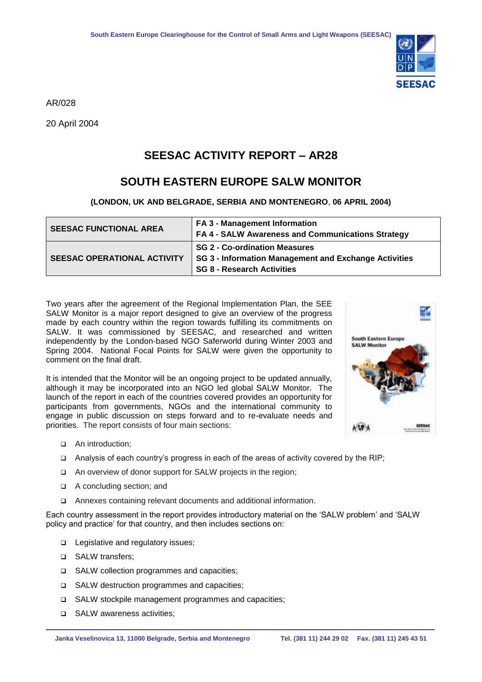

AR/028

20 April 2004

## **SEESAC ACTIVITY REPORT – AR28**

## **SOUTH EASTERN EUROPE SALW MONITOR**

**(LONDON, UK AND BELGRADE, SERBIA AND MONTENEGRO**, **06 APRIL 2004)**

| <b>SEESAC FUNCTIONAL AREA</b>      | <b>FA 3 - Management Information</b><br>FA 4 - SALW Awareness and Communications Strategy                                          |
|------------------------------------|------------------------------------------------------------------------------------------------------------------------------------|
| <b>SEESAC OPERATIONAL ACTIVITY</b> | <b>SG 2 - Co-ordination Measures</b><br>SG 3 - Information Management and Exchange Activities<br><b>SG 8 - Research Activities</b> |

Two years after the agreement of the Regional Implementation Plan, the SEE SALW Monitor is a major report designed to give an overview of the progress made by each country within the region towards fulfilling its commitments on SALW. It was commissioned by SEESAC, and researched and written independently by the London-based NGO Saferworld during Winter 2003 and Spring 2004. National Focal Points for SALW were given the opportunity to comment on the final draft.

It is intended that the Monitor will be an ongoing project to be updated annually, although it may be incorporated into an NGO led global SALW Monitor. The launch of the report in each of the countries covered provides an opportunity for participants from governments, NGOs and the international community to engage in public discussion on steps forward and to re-evaluate needs and priorities. The report consists of four main sections:



- □ An introduction:
- Analysis of each country's progress in each of the areas of activity covered by the RIP;
- □ An overview of donor support for SALW projects in the region;
- A concluding section; and
- Annexes containing relevant documents and additional information.

Each country assessment in the report provides introductory material on the 'SALW problem' and 'SALW policy and practice' for that country, and then includes sections on:

- □ Legislative and regulatory issues;
- □ SALW transfers;
- □ SALW collection programmes and capacities;
- □ SALW destruction programmes and capacities;
- SALW stockpile management programmes and capacities;
- □ SALW awareness activities: